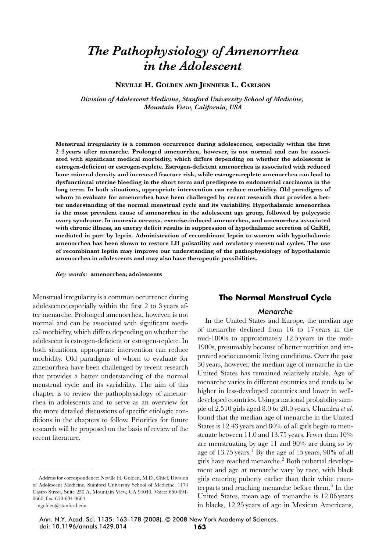# *The Pathophysiology of Amenorrhea in the Adolescent*

**NEVILLE H. GOLDEN AND JENNIFER L. CARLSON**

*Division of Adolescent Medicine, Stanford University School of Medicine, Mountain View, California, USA*

**Menstrual irregularity is a common occurrence during adolescence, especially within the first 2–3 years after menarche. Prolonged amenorrhea, however, is not normal and can be associated with significant medical morbidity, which differs depending on whether the adolescent is estrogen-deficient or estrogen-replete. Estrogen-deficient amenorrhea is associated with reduced bone mineral density and increased fracture risk, while estrogen-replete amenorrhea can lead to dysfunctional uterine bleeding in the short term and predispose to endometrial carcinoma in the long term. In both situations, appropriate intervention can reduce morbidity. Old paradigms of whom to evaluate for amenorrhea have been challenged by recent research that provides a better understanding of the normal menstrual cycle and its variability. Hypothalamic amenorrhea is the most prevalent cause of amenorrhea in the adolescent age group, followed by polycystic ovary syndrome. In anorexia nervosa, exercise-induced amenorrhea, and amenorrhea associated with chronic illness, an energy deficit results in suppression of hypothalamic secretion of GnRH, mediated in part by leptin. Administration of recombinant leptin to women with hypothalamic amenorrhea has been shown to restore LH pulsatility and ovulatory menstrual cycles. The use of recombinant leptin may improve our understanding of the pathophysiology of hypothalamic amenorrhea in adolescents and may also have therapeutic possibilities.**

*Key words:* **amenorrhea; adolescents**

Menstrual irregularity is a common occurrence during adolescence,especially within the first 2 to 3 years after menarche. Prolonged amenorrhea, however, is not normal and can be associated with significant medical morbidity, which differs depending on whether the adolescent is estrogen-deficient or estrogen-replete. In both situations, appropriate intervention can reduce morbidity. Old paradigms of whom to evaluate for amenorrhea have been challenged by recent research that provides a better understanding of the normal menstrual cycle and its variability. The aim of this chapter is to review the pathophysiology of amenorrhea in adolescents and to serve as an overview for the more detailed discussions of specific etiologic conditions in the chapters to follow. Priorities for future research will be proposed on the basis of review of the recent literature.

## **The Normal Menstrual Cycle**

#### Menarche

In the United States and Europe, the median age of menarche declined from 16 to 17 years in the mid-1800s to approximately 12.5 years in the mid-1900s, presumably because of better nutrition and improved socioeconomic living conditions. Over the past 30 years, however, the median age of menarche in the United States has remained relatively stable. Age of menarche varies in different countries and tends to be higher in less-developed countries and lower in welldeveloped countries. Using a national probability sample of 2,510 girls aged 8.0 to 20.0 years, Chumlea *et al.* found that the median age of menarche in the United States is 12.43 years and 80% of all girls begin to menstruate between 11.0 and 13.75 years. Fewer than 10% are menstruating by age 11 and 90% are doing so by age of  $13.75$  years.<sup>1</sup> By the age of 15 years, 98% of all girls have reached menarche.2 Both pubertal development and age at menarche vary by race, with black girls entering puberty earlier than their white counterparts and reaching menarche before them.3 In the United States, mean age of menarche is 12.06 years in blacks, 12.25 years of age in Mexican Americans,

Address for correspondence: Neville H. Golden, M.D., Chief, Division of Adolescent Medicine, Stanford University School of Medicine, 1174 Castro Street, Suite 250 A, Mountain View, CA 94040. Voice: 650-694- 0660; fax: 650-694-0664.

ngolden@stanford.edu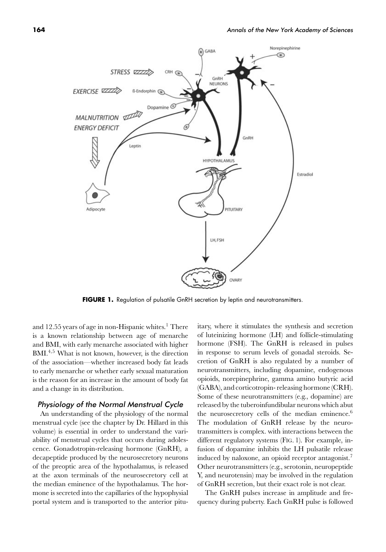

**FIGURE 1.** Regulation of pulsatile GnRH secretion by leptin and neurotransmitters.

and 12.55 years of age in non-Hispanic whites.<sup>1</sup> There is a known relationship between age of menarche and BMI, with early menarche associated with higher BMI.<sup>4</sup>*,*<sup>5</sup> What is not known, however, is the direction of the association—whether increased body fat leads to early menarche or whether early sexual maturation is the reason for an increase in the amount of body fat and a change in its distribution.

#### Physiology of the Normal Menstrual Cycle

An understanding of the physiology of the normal menstrual cycle (see the chapter by Dr. Hillard in this volume) is essential in order to understand the variability of menstrual cycles that occurs during adolescence. Gonadotropin-releasing hormone (GnRH), a decapeptide produced by the neurosecretory neurons of the preoptic area of the hypothalamus, is released at the axon terminals of the neurosecretory cell at the median eminence of the hypothalamus. The hormone is secreted into the capillaries of the hypophysial portal system and is transported to the anterior pituitary, where it stimulates the synthesis and secretion of luteinizing hormone (LH) and follicle-stimulating hormone (FSH). The GnRH is released in pulses in response to serum levels of gonadal steroids. Secretion of GnRH is also regulated by a number of neurotransmitters, including dopamine, endogenous opioids, norepinephrine, gamma amino butyric acid (GABA), and corticotropin- releasing hormone (CRH). Some of these neurotransmitters (e.g., dopamine) are released by the tuberoinfundibular neurons which abut the neurosecretory cells of the median eminence.<sup>6</sup> The modulation of GnRH release by the neurotransmitters is complex. with interactions between the different regulatory systems (FIG. 1). For example, infusion of dopamine inhibits the LH pulsatile release induced by naloxone, an opioid receptor antagonist. Other neurotransmitters (e.g., serotonin, neuropeptide Y, and neurotensin) may be involved in the regulation of GnRH secretion, but their exact role is not clear.

The GnRH pulses increase in amplitude and frequency during puberty. Each GnRH pulse is followed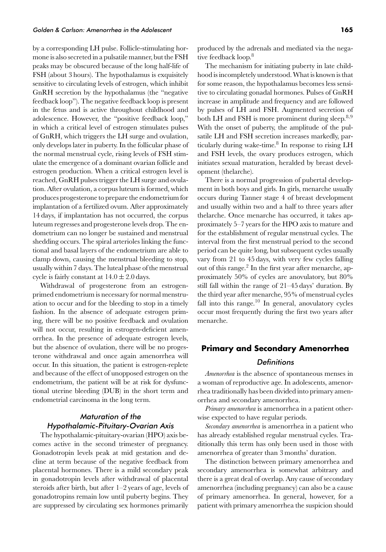by a corresponding LH pulse. Follicle-stimulating hormone is also secreted in a pulsatile manner, but the FSH peaks may be obscured because of the long half-life of FSH (about 3 hours). The hypothalamus is exquisitely sensitive to circulating levels of estrogen, which inhibit GnRH secretion by the hypothalamus (the "negative feedback loop"). The negative feedback loop is present in the fetus and is active throughout childhood and adolescence. However, the "positive feedback loop," in which a critical level of estrogen stimulates pulses of GnRH, which triggers the LH surge and ovulation, only develops later in puberty. In the follicular phase of the normal menstrual cycle, rising levels of FSH stimulate the emergence of a dominant ovarian follicle and estrogen production. When a critical estrogen level is reached, GnRH pulses trigger the LH surge and ovulation. After ovulation, a corpus luteum is formed, which produces progesterone to prepare the endometrium for implantation of a fertilized ovum. After approximately 14 days, if implantation has not occurred, the corpus luteum regresses and progesterone levels drop. The endometrium can no longer be sustained and menstrual shedding occurs. The spiral arterioles linking the functional and basal layers of the endometrium are able to clamp down, causing the menstrual bleeding to stop, usually within 7 days. The luteal phase of the menstrual cycle is fairly constant at  $14.0 \pm 2.0$  days.

Withdrawal of progesterone from an estrogenprimed endometrium is necessary for normal menstruation to occur and for the bleeding to stop in a timely fashion. In the absence of adequate estrogen priming, there will be no positive feedback and ovulation will not occur, resulting in estrogen-deficient amenorrhea. In the presence of adequate estrogen levels, but the absence of ovulation, there will be no progesterone withdrawal and once again amenorrhea will occur. In this situation, the patient is estrogen-replete and because of the effect of unopposed estrogen on the endometrium, the patient will be at risk for dysfunctional uterine bleeding (DUB) in the short term and endometrial carcinoma in the long term.

## Maturation of the Hypothalamic-Pituitary-Ovarian Axis

The hypothalamic-pituitary-ovarian (HPO) axis becomes active in the second trimester of pregnancy. Gonadotropin levels peak at mid gestation and decline at term because of the negative feedback from placental hormones. There is a mild secondary peak in gonadotropin levels after withdrawal of placental steroids after birth, but after 1–2 years of age, levels of gonadotropins remain low until puberty begins. They are suppressed by circulating sex hormones primarily produced by the adrenals and mediated via the negative feedback loop.<sup>8</sup>

The mechanism for initiating puberty in late childhood is incompletely understood. What is known is that for some reason, the hypothalamus becomes less sensitive to circulating gonadal hormones. Pulses of GnRH increase in amplitude and frequency and are followed by pulses of LH and FSH. Augmented secretion of both LH and FSH is more prominent during sleep.8*,*<sup>9</sup> With the onset of puberty, the amplitude of the pulsatile LH and FSH secretion increases markedly, particularly during wake-time.<sup>8</sup> In response to rising LH and FSH levels, the ovary produces estrogen, which initiates sexual maturation, heralded by breast development (thelarche).

There is a normal progression of pubertal development in both boys and girls. In girls, menarche usually occurs during Tanner stage 4 of breast development and usually within two and a half to three years after thelarche. Once menarche has occurred, it takes approximately 5–7 years for the HPO axis to mature and for the establishment of regular menstrual cycles. The interval from the first menstrual period to the second period can be quite long, but subsequent cycles usually vary from 21 to 45 days, with very few cycles falling out of this range.<sup>2</sup> In the first year after menarche, approximately 50% of cycles are anovulatory, but 80% still fall within the range of 21–45 days' duration. By the third year after menarche, 95% of menstrual cycles fall into this range. $10$  In general, anovulatory cycles occur most frequently during the first two years after menarche.

## **Primary and Secondary Amenorrhea Definitions**

*Amenorrhea* is the absence of spontaneous menses in a woman of reproductive age. In adolescents, amenorrhea traditionally has been divided into primary amenorrhea and secondary amenorrhea.

*Primary amenorrhea* is amenorrhea in a patient otherwise expected to have regular periods.

*Secondary amenorrhea* is amenorrhea in a patient who has already established regular menstrual cycles. Traditionally this term has only been used in those with amenorrhea of greater than 3 months' duration.

The distinction between primary amenorrhea and secondary amenorrhea is somewhat arbitrary and there is a great deal of overlap. Any cause of secondary amenorrhea (including pregnancy) can also be a cause of primary amenorrhea. In general, however, for a patient with primary amenorrhea the suspicion should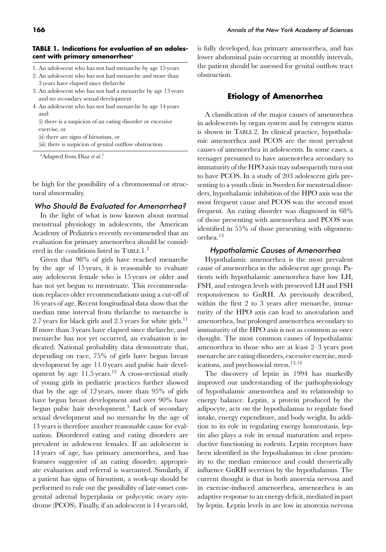#### **TABLE 1. Indications for evaluation of an adolescent with primary amenorrhea***<sup>a</sup>*

- 1. An adolescent who has not had menarche by age 15 years
- 2. An adolescent who has not had menarche and more than 3 years have elapsed since thelarche
- 3. An adolescent who has not had a menarche by age 13 years and no secondary sexual development
- 4. An adolescent who has not had menarche by age 14 years and:

(i) there is a suspicion of an eating disorder or excessive exercise, or

(ii) there are signs of hirsutism, or

(iii) there is suspicion of genital outflow obstruction

*a* Adapted from Diaz *et al*. 2

be high for the possibility of a chromosomal or structural abnormality.

#### Who Should Be Evaluated for Amenorrhea?

In the light of what is now known about normal menstrual physiology in adolescents, the American Academy of Pediatrics recently recommended that an evaluation for primary amenorrhea should be considered in the conditions listed in TABLE 1.<sup>2</sup>

Given that 98% of girls have reached menarche by the age of 15 years, it is reasonable to evaluate any adolescent female who is 15 years or older and has not yet begun to menstruate. This recommendation replaces older recommendations using a cut-off of 16 years of age. Recent longitudinal data show that the median time interval from thelarche to menarche is 2.7 years for black girls and 2.5 years for white girls.<sup>11</sup> If more than 3 years have elapsed since thelarche, and menarche has not yet occurred, an evaluation is indicated. National probability data demonstrate that, depending on race, 75% of girls have begun breast development by age 11.0 years and pubic hair development by age  $11.5 \, \text{years}$ .<sup>12</sup> A cross-sectional study of young girls in pediatric practices further showed that by the age of 12 years, more than 95% of girls have begun breast development and over 90% have begun pubic hair development.<sup>3</sup> Lack of secondary sexual development and no menarche by the age of 13 years is therefore another reasonable cause for evaluation. Disordered eating and eating disorders are prevalent in adolescent females. If an adolescent is 14 years of age, has primary amenorrhea, and has features suggestive of an eating disorder, appropriate evaluation and referral is warranted. Similarly, if a patient has signs of hirsutism, a work-up should be performed to rule out the possibility of late-onset congenital adrenal hyperplasia or polycystic ovary syndrome (PCOS). Finally, if an adolescent is 14 years old,

is fully developed, has primary amenorrhea, and has lower abdominal pain occurring at monthly intervals, the patient should be assessed for genital outflow tract obstruction.

## **Etiology of Amenorrhea**

A classification of the major causes of amenorrhea in adolescents by organ system and by estrogen status is shown in TABLE 2. In clinical practice, hypothalamic amenorrhea and PCOS are the most prevalent causes of amenorrhea in adolescents. In some cases, a teenager presumed to have amenorrhea secondary to immaturity of the HPO axis may subsequently turn out to have PCOS. In a study of 203 adolescent girls presenting to a youth clinic in Sweden for menstrual disorders, hypothalamic inhibition of the HPO axis was the most frequent cause and PCOS was the second most frequent. An eating disorder was diagnosed in 68% of those presenting with amenorrhea and PCOS was identified in 55% of those presenting with oligomenorrhea.13

#### Hypothalamic Causes of Amenorrhea

Hypothalamic amenorrhea is the most prevalent cause of amenorrhea in the adolescent age group. Patients with hypothalamic amenorrhea have low LH, FSH, and estrogen levels with preserved LH and FSH responsiveness to GnRH. As previously described, within the first 2 to 3 years after menarche, immaturity of the HPO axis can lead to anovulation and amenorrhea, but prolonged amenorrhea secondary to immaturity of the HPO axis is not as common as once thought. The most common causes of hypothalamic amenorrhea in those who are at least 2–3 years post menarche are eating disorders, excessive exercise, medications, and psychosocial stress.<sup>13</sup>*,*<sup>14</sup>

The discovery of leptin in 1994 has markedly improved our understanding of the pathophysiology of hypothalamic amenorrhea and its relationship to energy balance. Leptin, a protein produced by the adipocyte, acts on the hypothalamus to regulate food intake, energy expenditure, and body weight. In addition to its role in regulating energy homeostasis, leptin also plays a role in sexual maturation and reproductive functioning in rodents. Leptin receptors have been identified in the hypothalamus in close proximity to the median eminence and could theoretically influence GnRH secretion by the hypothalamus. The current thought is that in both anorexia nervosa and in exercise-induced amenorrhea, amenorrhea is an adaptive response to an energy deficit, mediated in part by leptin. Leptin levels in are low in anorexia nervosa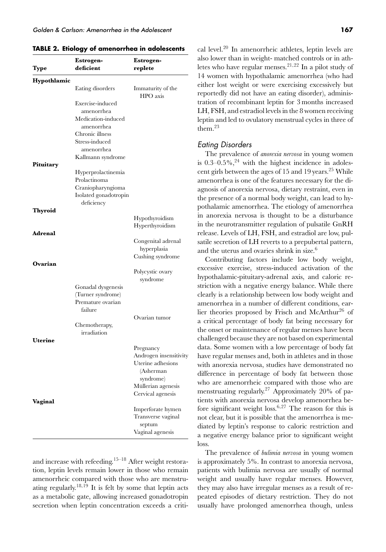| TABLE 2. Etiology of amenorrhea in adolescents |  |  |  |
|------------------------------------------------|--|--|--|
|------------------------------------------------|--|--|--|

|             | <b>Estrogen-</b>                    | <b>Estrogen-</b>                |
|-------------|-------------------------------------|---------------------------------|
| Type        | deficient                           | replete                         |
| Hypothlamic |                                     |                                 |
|             | Eating disorders                    | Immaturity of the<br>HPO axis   |
|             | Exercise-induced                    |                                 |
|             | amenorrhea                          |                                 |
|             | Medication-induced                  |                                 |
|             | amenorrhea                          |                                 |
|             | Chronic illness                     |                                 |
|             | Stress-induced<br>amenorrhea        |                                 |
|             | Kallmann syndrome                   |                                 |
| Pituitary   |                                     |                                 |
|             | Hyperprolactinemia                  |                                 |
|             | Prolactinoma                        |                                 |
|             | Craniopharyngioma                   |                                 |
|             | Isolated gonadotropin<br>deficiency |                                 |
| Thyroid     |                                     |                                 |
|             |                                     | Hypothyroidism                  |
|             |                                     | Hyperthyroidism                 |
| Adrenal     |                                     |                                 |
|             |                                     | Congenital adrenal              |
|             |                                     | hyperplasia<br>Cushing syndrome |
| Ovarian     |                                     |                                 |
|             |                                     | Polycystic ovary                |
|             |                                     | syndrome                        |
|             | Gonadal dysgenesis                  |                                 |
|             | (Turner syndrome)                   |                                 |
|             | Premature ovarian                   |                                 |
|             | failure                             |                                 |
|             |                                     | Ovarian tumor                   |
|             | Chemotherapy,<br>irradiation        |                                 |
| Uterine     |                                     |                                 |
|             |                                     | Pregnancy                       |
|             |                                     | Androgen insensitivity          |
|             |                                     | Uterine adhesions               |
|             |                                     | (Asherman                       |
|             |                                     | syndrome)                       |
|             |                                     | Müllerian agenesis              |
|             |                                     | Cervical agenesis               |
| Vaginal     |                                     |                                 |
|             |                                     | Imperforate hymen               |
|             |                                     | Transverse vaginal<br>septum    |
|             |                                     | Vaginal agenesis                |
|             |                                     |                                 |

and increase with refeeding.<sup>15–18</sup> After weight restoration, leptin levels remain lower in those who remain amenorrheic compared with those who are menstruating regularly.<sup>18,19</sup> It is felt by some that leptin acts as a metabolic gate, allowing increased gonadotropin secretion when leptin concentration exceeds a critical level.<sup>20</sup> In amenorrheic athletes, leptin levels are also lower than in weight- matched controls or in athletes who have regular menses.<sup>21</sup>*,*<sup>22</sup> In a pilot study of 14 women with hypothalamic amenorrhea (who had either lost weight or were exercising excessively but reportedly did not have an eating disorder), administration of recombinant leptin for 3 months increased LH, FSH, and estradiol levels in the 8 women receiving leptin and led to ovulatory menstrual cycles in three of them.<sup>23</sup>

#### Eating Disorders

The prevalence of *anorexia nervosa* in young women is  $0.3-0.5\%$ ,<sup>24</sup> with the highest incidence in adolescent girls between the ages of 15 and 19 years.<sup>25</sup> While amenorrhea is one of the features necessary for the diagnosis of anorexia nervosa, dietary restraint, even in the presence of a normal body weight, can lead to hypothalamic amenorrhea. The etiology of amenorrhea in anorexia nervosa is thought to be a disturbance in the neurotransmitter regulation of pulsatile GnRH release. Levels of LH, FSH, and estradiol are low, pulsatile secretion of LH reverts to a prepubertal pattern, and the uterus and ovaries shrink in size.<sup>6</sup>

Contributing factors include low body weight, excessive exercise, stress-induced activation of the hypothalamic-pituitary-adrenal axis, and caloric restriction with a negative energy balance. While there clearly is a relationship between low body weight and amenorrhea in a number of different conditions, earlier theories proposed by Frisch and McArthur<sup>26</sup> of a critical percentage of body fat being necessary for the onset or maintenance of regular menses have been challenged because they are not based on experimental data. Some women with a low percentage of body fat have regular menses and, both in athletes and in those with anorexia nervosa, studies have demonstrated no difference in percentage of body fat between those who are amenorrheic compared with those who are menstruating regularly.<sup>27</sup> Approximately 20% of patients with anorexia nervosa develop amenorrhea before significant weight loss.<sup>6</sup>*,*<sup>27</sup> The reason for this is not clear, but it is possible that the amenorrhea is mediated by leptin's response to caloric restriction and a negative energy balance prior to significant weight loss.

The prevalence of *bulimia nervosa* in young women is approximately 5%. In contrast to anorexia nervosa, patients with bulimia nervosa are usually of normal weight and usually have regular menses. However, they may also have irregular menses as a result of repeated episodes of dietary restriction. They do not usually have prolonged amenorrhea though, unless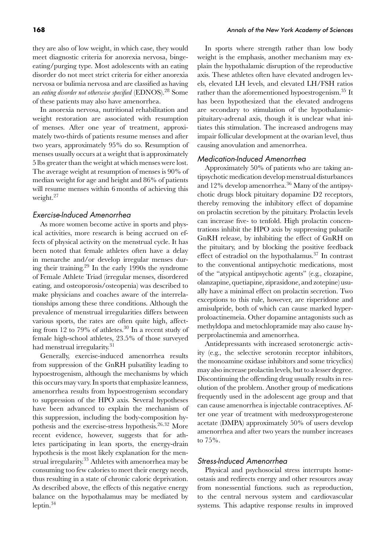an *eating disorder not otherwise specified* (EDNOS).<sup>28</sup> Some of these patients may also have amenorrhea.

In anorexia nervosa, nutritional rehabilitation and weight restoration are associated with resumption of menses. After one year of treatment, approximately two-thirds of patients resume menses and after two years, approximately 95% do so. Resumption of menses usually occurs at a weight that is approximately 5 lbs greater than the weight at which menses were lost. The average weight at resumption of menses is 90% of median weight for age and height and 86% of patients will resume menses within 6 months of achieving this weight.<sup>27</sup>

#### Exercise-Induced Amenorrhea

As more women become active in sports and physical activities, more research is being accrued on effects of physical activity on the menstrual cycle. It has been noted that female athletes often have a delay in menarche and/or develop irregular menses during their training.<sup>29</sup> In the early 1990s the syndrome of Female Athlete Triad (irregular menses, disordered eating, and osteoporosis/osteopenia) was described to make physicians and coaches aware of the interrelationships among these three conditions. Although the prevalence of menstrual irregularities differs between various sports, the rates are often quite high, affecting from 12 to 79% of athletes.<sup>30</sup> In a recent study of female high-school athletes, 23.5% of those surveyed had menstrual irregularity.<sup>31</sup>

Generally, exercise-induced amenorrhea results from suppression of the GnRH pulsatility leading to hypoestrogenism, although the mechanisms by which this occurs may vary. In sports that emphasize leanness, amenorrhea results from hypoestrogenism secondary to suppression of the HPO axis. Several hypotheses have been advanced to explain the mechanism of this suppression, including the body-composition hypothesis and the exercise-stress hypothesis.26*,*<sup>32</sup> More recent evidence, however, suggests that for athletes participating in lean sports, the energy-drain hypothesis is the most likely explanation for the menstrual irregularity.<sup>33</sup> Athletes with amenorrhea may be consuming too few calories to meet their energy needs, thus resulting in a state of chronic caloric deprivation. As described above, the effects of this negative energy balance on the hypothalamus may be mediated by leptin. $34$ 

In sports where strength rather than low body weight is the emphasis, another mechanism may explain the hypothalamic disruption of the reproductive axis. These athletes often have elevated androgen levels, elevated LH levels, and elevated LH/FSH ratios rather than the aforementioned hypoestrogenism.<sup>35</sup> It has been hypothesized that the elevated androgens are secondary to stimulation of the hypothalamicpituitary-adrenal axis, though it is unclear what initiates this stimulation. The increased androgens may impair follicular development at the ovarian level, thus causing anovulation and amenorrhea.

#### Medication-Induced Amenorrhea

Approximately 50% of patients who are taking antipsychotic medication develop menstrual disturbances and  $12\%$  develop amenorrhea.<sup>36</sup> Many of the antipsychotic drugs block pituitary dopamine D2 receptors, thereby removing the inhibitory effect of dopamine on prolactin secretion by the pituitary. Prolactin levels can increase five- to tenfold. High prolactin concentrations inhibit the HPO axis by suppressing pulsatile GnRH release, by inhibiting the effect of GnRH on the pituitary, and by blocking the positive feedback effect of estradiol on the hypothalamus.<sup>37</sup> In contrast to the conventional antipsychotic medications, most of the "atypical antipsychotic agents" (e.g., clozapine, olanzapine, quetiapine, ziprasidone, and zotepine) usually have a minimal effect on prolactin secretion. Two exceptions to this rule, however, are risperidone and amisulpride, both of which can cause marked hyperproloactinemeia. Other dopamine antagonists such as methyldopa and metochlopramide may also cause hyperprolactinemia and amenorrhea.

Antidepressants with increased serotonergic activity (e.g., the selective serotonin receptor inhibitors, the monoamine oxidase inhibitors and some tricyclics) may also increase prolactin levels, but to a lesser degree. Discontinuing the offending drug usually results in resolution of the problem. Another group of medications frequently used in the adolescent age group and that can cause amenorrhea is injectable contraceptives. After one year of treatment with medroxyprogesterone acetate (DMPA) approximately 50% of users develop amenorrhea and after two years the number increases to 75%.

#### Stress-Induced Amenorrhea

Physical and psychosocial stress interrupts homeostasis and redirects energy and other resources away from nonessential functions. such as reproduction, to the central nervous system and cardiovascular systems. This adaptive response results in improved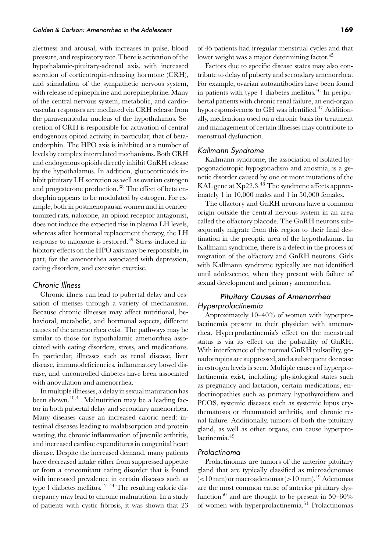alertness and arousal, with increases in pulse, blood pressure, and respiratory rate. There is activation of the hypothalamic-pituitary-adrenal axis, with increased secretion of corticotropin-releasing hormone (CRH), and stimulation of the sympathetic nervous system, with release of epinephrine and norepinephrine. Many of the central nervous system, metabolic, and cardiovascular responses are mediated via CRH release from the paraventricular nucleus of the hypothalamus. Secretion of CRH is responsible for activation of central endogenous opioid activity, in particular, that of betaendorphin. The HPO axis is inhibited at a number of levels by complex interrelated mechanisms. Both CRH and endogenous opioids directly inhibit GnRH release by the hypothalamus. In addition, glucocorticoids inhibit pituitary LH secretion as well as ovarian estrogen and progesterone production.<sup>38</sup> The effect of beta endorphin appears to be modulated by estrogen. For example, both in postmenopausal women and in ovariectomized rats, naloxone, an opioid receptor antagonist, does not induce the expected rise in plasma LH levels, whereas after hormonal replacement therapy, the LH response to naloxone is restored.<sup>39</sup> Stress-induced inhibitory effects on the HPO axis may be responsible, in part, for the amenorrhea associated with depression, eating disorders, and excessive exercise.

#### Chronic Illness

Chronic illness can lead to pubertal delay and cessation of menses through a variety of mechanisms. Because chronic illnesses may affect nutritional, behavioral, metabolic, and hormonal aspects, different causes of the amenorrhea exist. The pathways may be similar to those for hypothalamic amenorrhea associated with eating disorders, stress, and medications. In particular, illnesses such as renal disease, liver disease, immunodeficiencies, inflammatory bowel disease, and uncontrolled diabetes have been associated with anovulation and amenorrhea.

In multiple illnesses, a delay in sexual maturation has been shown.<sup>40</sup>*,*<sup>41</sup> Malnutrition may be a leading factor in both pubertal delay and secondary amenorrhea. Many diseases cause an increased caloric need: intestinal diseases leading to malabsorption and protein wasting, the chronic inflammation of juvenile arthritis, and increased cardiac expenditures in congenital heart disease. Despite the increased demand, many patients have decreased intake either from suppressed appetite or from a concomitant eating disorder that is found with increased prevalence in certain diseases such as type 1 diabetes mellitus.<sup> $42-44$ </sup> The resulting caloric discrepancy may lead to chronic malnutrition. In a study of patients with cystic fibrosis, it was shown that 23 of 45 patients had irregular menstrual cycles and that lower weight was a major determining factor.<sup>45</sup>

Factors due to specific disease states may also contribute to delay of puberty and secondary amenorrhea. For example, ovarian autoantibodies have been found in patients with type 1 diabetes mellitus. $46$  In peripubertal patients with chronic renal failure, an end-organ hyporesponsiveness to GH was identified.<sup>47</sup> Additionally, medications used on a chronic basis for treatment and management of certain illnesses may contribute to menstrual dysfunction.

#### Kallmann Syndrome

Kallmann syndrome, the association of isolated hypogonadotropic hypogonadism and anosmia, is a genetic disorder caused by one or more mutations of the KAL gene at Xp22.3.<sup>48</sup> The syndrome affects approximately 1 in 10,000 males and 1 in 50,000 females.

The olfactory and GnRH neurons have a common origin outside the central nervous system in an area called the olfactory placode. The GnRH neurons subsequently migrate from this region to their final destination in the preoptic area of the hypothalamus. In Kallmann syndrome, there is a defect in the process of migration of the olfactory and GnRH neurons. Girls with Kallmann syndrome typically are not identified until adolescence, when they present with failure of sexual development and primary amenorrhea.

## Pituitary Causes of Amenorrhea Hyperprolactinemia

Approximately 10–40% of women with hyperprolactinemia present to their physician with amenorrhea. Hyperprolactinemia's effect on the menstrual status is via its effect on the pulsatility of GnRH. With interference of the normal GnRH pulsatility, gonadotropins are suppressed, and a subsequent decrease in estrogen levels is seen. Multiple causes of hyperprolactinemia exist, including: physiological states such as pregnancy and lactation, certain medications, endocrinopathies such as primary hypothyroidism and PCOS, systemic diseases such as systemic lupus erythematosus or rheumatoid arthritis, and chronic renal failure. Additionally, tumors of both the pituitary gland, as well as other organs, can cause hyperprolactinemia.<sup>49</sup>

## Prolactinoma

Prolactinomas are tumors of the anterior pituitary gland that are typically classified as microadenomas (*<*10 mm) or macroadenomas (*>*10 mm).<sup>49</sup> Adenomas are the most common cause of anterior pituitary dysfunction<sup>50</sup> and are thought to be present in  $50-60\%$ of women with hyperprolactinemia.<sup>51</sup> Prolactinomas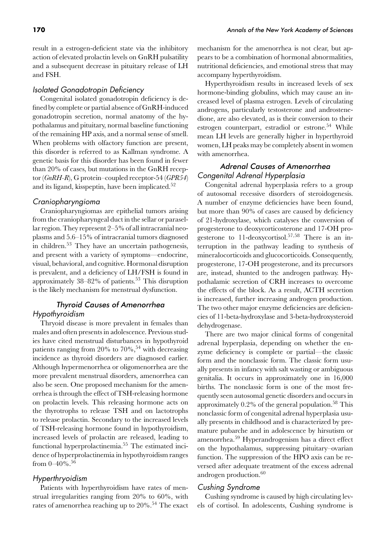result in a estrogen-deficient state via the inhibitory action of elevated prolactin levels on GnRH pulsatility and a subsequent decrease in pituitary release of LH and FSH.

#### Isolated Gonadotropin Deficiency

Congenital isolated gonadotropin deficiency is defined by complete or partial absence of GnRH-induced gonadotropin secretion, normal anatomy of the hypothalamus and pituitary, normal baseline functioning of the remaining HP axis, and a normal sense of smell. When problems with olfactory function are present, this disorder is referred to as Kallman syndrome. A genetic basis for this disorder has been found in fewer than 20% of cases, but mutations in the GnRH receptor (*GnRH-R*), G protein–coupled receptor-54 (*GPR54*) and its ligand, kisspeptin, have been implicated. $52$ 

#### Craniopharyngioma

Craniopharyngiomas are epithelial tumors arising from the craniopharyngeal duct in the sellar or parasellar region. They represent 2–5% of all intracranial neoplasms and 5.6–15% of intracranial tumors diagnosed in children.<sup>53</sup> They have an uncertain pathogenesis, and present with a variety of symptoms—endocrine, visual, behavioral, and cognitive. Hormonal disruption is prevalent, and a deficiency of LH/FSH is found in approximately 38-82% of patients.<sup>53</sup> This disruption is the likely mechanism for menstrual dysfunction.

## Thyroid Causes of Amenorrhea Hypothyroidism

Thryoid disease is more prevalent in females than males and often presents in adolescence. Previous studies have cited menstrual disturbances in hypothyroid patients ranging from  $20\%$  to  $70\%$ ,<sup>54</sup> with decreasing incidence as thyroid disorders are diagnosed earlier. Although hypermenorrhea or oligomenorrhea are the more prevalent menstrual disorders, amenorrhea can also be seen. One proposed mechanism for the amenorrhea is through the effect of TSH-releasing hormone on prolactin levels. This releasing hormone acts on the thyrotrophs to release TSH and on lactotrophs to release prolactin. Secondary to the increased levels of TSH-releasing hormone found in hypothyroidism, increased levels of prolactin are released, leading to functional hyperprolactinemia.<sup>55</sup> The estimated incidence of hyperprolactinemia in hypothyroidism ranges from  $0-40\%$ .<sup>56</sup>

#### Hyperthryoidism

Patients with hyperthyroidism have rates of menstrual irregularities ranging from 20% to 60%, with rates of amenorrhea reaching up to 20%.<sup>54</sup> The exact mechanism for the amenorrhea is not clear, but appears to be a combination of hormonal abnormalities, nutritional deficiencies, and emotional stress that may accompany hyperthyroidism.

Hyperthyroidism results in increased levels of sex hormone-binding globulins, which may cause an increased level of plasma estrogen. Levels of circulating androgens, particularly testosterone and androstenedione, are also elevated, as is their conversion to their estrogen counterpart, estradiol or estrone.<sup>54</sup> While mean LH levels are generally higher in hyperthyroid women, LH peaks may be completely absent in women with amenorrhea.

## Adrenal Causes of Amenorrhea Congenital Adrenal Hyperplasia

Congenital adrenal hyperplasia refers to a group of autosomal recessive disorders of steroidogenesis. A number of enzyme deficiencies have been found, but more than 90% of cases are caused by deficiency of 21-hydroxylase, which catalyses the conversion of progesterone to deoxycorticosterone and 17-OH progesterone to 11-deoxycortisol.<sup>57</sup>*,*<sup>58</sup> There is an interruption in the pathway leading to synthesis of mineralocorticoids and glucocorticoids. Consequently, progesterone, 17-OH progesterone, and its precursors are, instead, shunted to the androgen pathway. Hypothalamic secretion of CRH increases to overcome the effects of the block. As a result, ACTH secretion is increased, further increasing androgen production. The two other major enzyme deficiencies are deficiencies of 11-beta-hydroxylase and 3-beta-hydroxysteroid dehydrogenase.

There are two major clinical forms of congenital adrenal hyperplasia, depending on whether the enzyme deficiency is complete or partial—the classic form and the nonclassic form. The classic form usually presents in infancy with salt wasting or ambiguous genitalia. It occurs in approximately one in 16,000 births. The nonclassic form is one of the most frequently seen autosomal genetic disorders and occurs in approximately  $0.2\%$  of the general population.<sup>58</sup> This nonclassic form of congenital adrenal hyperplasia usually presents in childhood and is characterized by premature pubarche and in adolescence by hirsutism or amenorrhea.59 Hyperandrogenism has a direct effect on the hypothalamus, suppressing pituitary–ovarian function. The suppression of the HPO axis can be reversed after adequate treatment of the excess adrenal androgen production.<sup>60</sup>

#### Cushing Syndrome

Cushing syndrome is caused by high circulating levels of cortisol. In adolescents, Cushing syndrome is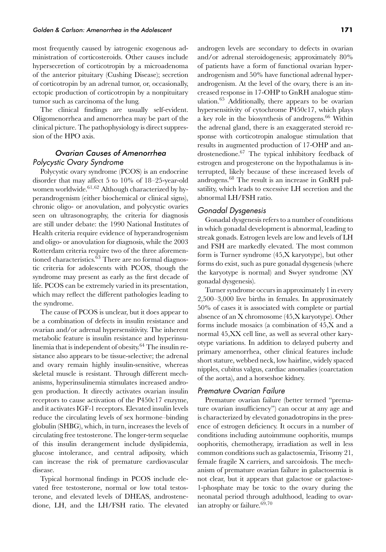most frequently caused by iatrogenic exogenous administration of corticosteroids. Other causes include hypersecretion of corticotropin by a microadenoma of the anterior pituitary (Cushing Disease); secretion of corticotropin by an adrenal tumor, or, occasionally, ectopic production of corticotropin by a nonpituitary tumor such as carcinoma of the lung.

The clinical findings are usually self-evident. Oligomenorrhea and amenorrhea may be part of the clinical picture. The pathophysiology is direct suppression of the HPO axis.

## Ovarian Causes of Amenorrhea Polycystic Ovary Syndrome

Polycystic ovary syndrome (PCOS) is an endocrine disorder that may affect 5 to 10% of 18–25-year-old women worldwide.<sup>61</sup>*,*<sup>62</sup> Although characterized by hyperandrogenism (either biochemical or clinical signs), chronic oligo- or anovulation, and polycystic ovaries seen on ultrasonography, the criteria for diagnosis are still under debate: the 1990 National Institutes of Health criteria require evidence of hyperandrogenism and oligo- or anovulation for diagnosis, while the 2003 Rotterdam criteria require two of the three aforementioned characteristics. $63$  There are no formal diagnostic criteria for adolescents with PCOS, though the syndrome may present as early as the first decade of life. PCOS can be extremely varied in its presentation, which may reflect the different pathologies leading to the syndrome.

The cause of PCOS is unclear, but it does appear to be a combination of defects in insulin resistance and ovarian and/or adrenal hypersensitivity. The inherent metabolic feature is insulin resistance and hyperinsulinemia that is independent of obesity.64 The insulin resistance also appears to be tissue-selective; the adrenal and ovary remain highly insulin-sensitive, whereas skeletal muscle is resistant. Through different mechanisms, hyperinsulinemia stimulates increased androgen production. It directly activates ovarian insulin receptors to cause activation of the P450c17 enzyme, and it activates IGF-1 receptors. Elevated insulin levels reduce the circulating levels of sex hormone–binding globulin (SHBG), which, in turn, increases the levels of circulating free testosterone. The longer-term sequelae of this insulin derangement include dyslipidemia, glucose intolerance, and central adiposity, which can increase the risk of premature cardiovascular disease.

Typical hormonal findings in PCOS include elevated free testosterone, normal or low total testosterone, and elevated levels of DHEAS, androstenedione, LH, and the LH/FSH ratio. The elevated androgen levels are secondary to defects in ovarian and/or adrenal steroidogenesis; approximately 80% of patients have a form of functional ovarian hyperandrogenism and 50% have functional adrenal hyperandrogenism. At the level of the ovary, there is an increased response in 17-OHP to GnRH analogue stimulation.<sup>65</sup> Additionally, there appears to be ovarian hypersensitivity of cytochrome P450c17, which plays a key role in the biosynthesis of androgens.<sup>66</sup> Within the adrenal gland, there is an exaggerated steroid response with corticotropin analogue stimulation that results in augmented production of 17-OHP and androstenedione.<sup>67</sup> The typical inhibitory feedback of estrogen and progesterone on the hypothalamus is interrupted, likely because of these increased levels of androgens.<sup>68</sup> The result is an increase in GnRH pulsatility, which leads to excessive LH secretion and the abnormal LH/FSH ratio.

#### Gonadal Dysgenesis

Gonadal dysgenesis refers to a number of conditions in which gonadal development is abnormal, leading to streak gonads. Estrogen levels are low and levels of LH and FSH are markedly elevated. The most common form is Turner syndrome (45,X karyotype), but other forms do exist, such as pure gonadal dysgenesis (where the karyotype is normal) and Swyer syndrome (XY gonadal dysgenesis).

Turner syndrome occurs in approximately 1 in every 2,500–3,000 live births in females. In approximately 50% of cases it is associated with complete or partial absence of an X chromosome (45,X karyotype). Other forms include mosaics (a combination of 45,X and a normal 45,XX cell line, as well as several other karyotype variations. In addition to delayed puberty and primary amenorrhea, other clinical features include short stature, webbed neck, low hairline, widely spaced nipples, cubitus valgus, cardiac anomalies (coarctation of the aorta), and a horseshoe kidney.

#### Premature Ovarian Failure

Premature ovarian failure (better termed "premature ovarian insufficiency") can occur at any age and is characterized by elevated gonadotropins in the presence of estrogen deficiency. It occurs in a number of conditions including autoimmune oophoritis, mumps oophoritis, chemotherapy, irradiation as well in less common conditions such as galactosemia, Trisomy 21, female fragile X carriers, and sarcoidosis. The mechanism of premature ovarian failure in galactosemia is not clear, but it appears that galactose or galactose-1-phosphate may be toxic to the ovary during the neonatal period through adulthood, leading to ovarian atrophy or failure.<sup>69</sup>*,*<sup>70</sup>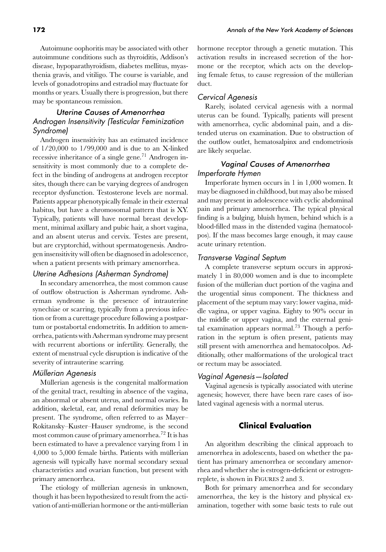Autoimune oophoritis may be associated with other autoimmune conditions such as thyroiditis, Addison's disease, hypoparathyroidism, diabetes mellitus, myasthenia gravis, and vitiligo. The course is variable, and levels of gonadotropins and estradiol may fluctuate for months or years. Usually there is progression, but there may be spontaneous remission.

## Uterine Causes of Amenorrhea Androgen Insensitivity (Testicular Feminization Syndrome)

Androgen insensitivity has an estimated incidence of 1/20,000 to 1/99,000 and is due to an X-linked recessive inheritance of a single gene.<sup>71</sup> Androgen insensitivity is most commonly due to a complete defect in the binding of androgens at androgen receptor sites, though there can be varying degrees of androgen receptor dysfunction. Testosterone levels are normal. Patients appear phenotypically female in their external habitus, but have a chromosomal pattern that is XY. Typically, patients will have normal breast development, minimal axillary and pubic hair, a short vagina, and an absent uterus and cervix. Testes are present, but are cryptorchid, without spermatogenesis. Androgen insensitivity will often be diagnosed in adolescence, when a patient presents with primary amenorrhea.

#### Uterine Adhesions (Asherman Syndrome)

In secondary amenorrhea, the most common cause of outflow obstruction is Asherman syndrome. Asherman syndrome is the presence of intrauterine synechiae or scarring, typically from a previous infection or from a curettage procedure following a postpartum or postabortal endometritis. In addition to amenorrhea, patients with Asherman syndrome may present with recurrent abortions or infertility. Generally, the extent of menstrual cycle disruption is indicative of the severity of intrauterine scarring.

#### Müllerian Agenesis

Müllerian agenesis is the congenital malformation of the genital tract, resulting in absence of the vagina, an abnormal or absent uterus, and normal ovaries. In addition, skeletal, ear, and renal deformities may be present. The syndrome, often referred to as Mayer– Rokitansky–Kuster–Hauser syndrome, is the second most common cause of primary amenorrhea.<sup>72</sup> It is has been estimated to have a prevalence varying from 1 in  $4,000$  to  $5,000$  female births. Patients with müllerian agenesis will typically have normal secondary sexual characteristics and ovarian function, but present with primary amenorrhea.

The etiology of müllerian agenesis in unknown, though it has been hypothesized to result from the activation of anti-müllerian hormone or the anti-müllerian hormone receptor through a genetic mutation. This activation results in increased secretion of the hormone or the receptor, which acts on the developing female fetus, to cause regression of the müllerian duct.

## Cervical Agenesis

Rarely, isolated cervical agenesis with a normal uterus can be found. Typically, patients will present with amenorrhea, cyclic abdominal pain, and a distended uterus on examination. Due to obstruction of the outflow outlet, hematosalpinx and endometriosis are likely sequelae.

## Vaginal Causes of Amenorrhea Imperforate Hymen

Imperforate hymen occurs in 1 in 1,000 women. It may be diagnosed in childhood, but may also be missed and may present in adolescence with cyclic abdominal pain and primary amenorrhea. The typical physical finding is a bulging, bluish hymen, behind which is a blood-filled mass in the distended vagina (hematocolpos). If the mass becomes large enough, it may cause acute urinary retention.

#### Transverse Vaginal Septum

A complete transverse septum occurs in approximately 1 in 80,000 women and is due to incomplete fusion of the müllerian duct portion of the vagina and the urogential sinus component. The thickness and placement of the septum may vary: lower vagina, middle vagina, or upper vagina. Eighty to 90% occur in the middle or upper vagina, and the external genital examination appears normal.<sup>73</sup> Though a perforation in the septum is often present, patients may still present with amenorrhea and hematocolpos. Additionally, other malformations of the urological tract or rectum may be associated.

#### Vaginal Agenesis—Isolated

Vaginal agenesis is typically associated with uterine agenesis; however, there have been rare cases of isolated vaginal agenesis with a normal uterus.

## **Clinical Evaluation**

An algorithm describing the clinical approach to amenorrhea in adolescents, based on whether the patient has primary amenorrhea or secondary amenorrhea and whether she is estrogen-deficient or estrogenreplete, is shown in FIGURES 2 and 3.

Both for primary amenorrhea and for secondary amenorrhea, the key is the history and physical examination, together with some basic tests to rule out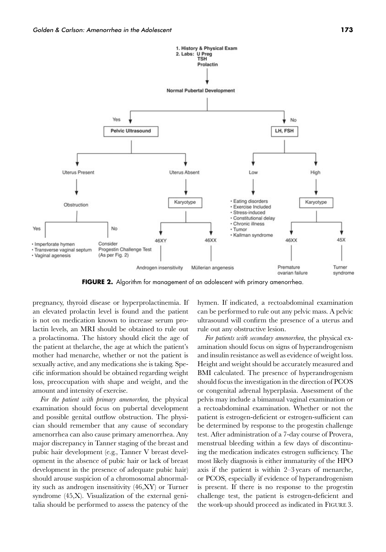

FIGURE 2. Algorithm for management of an adolescent with primary amenorrhea.

pregnancy, thyroid disease or hyperprolactinemia. If an elevated prolactin level is found and the patient is not on medication known to increase serum prolactin levels, an MRI should be obtained to rule out a prolactinoma. The history should elicit the age of the patient at thelarche, the age at which the patient's mother had menarche, whether or not the patient is sexually active, and any medications she is taking. Specific information should be obtained regarding weight loss, preoccupation with shape and weight, and the amount and intensity of exercise.

*For the patient with primary amenorrhea,* the physical examination should focus on pubertal development and possible genital outflow obstruction. The physician should remember that any cause of secondary amenorrhea can also cause primary amenorrhea. Any major discrepancy in Tanner staging of the breast and pubic hair development (e.g., Tanner V breast development in the absence of pubic hair or lack of breast development in the presence of adequate pubic hair) should arouse suspicion of a chromosomal abnormality such as androgen insensitivity (46,XY) or Turner syndrome (45,X). Visualization of the external genitalia should be performed to assess the patency of the hymen. If indicated, a rectoabdominal examination can be performed to rule out any pelvic mass. A pelvic ultrasound will confirm the presence of a uterus and rule out any obstructive lesion.

*For patients with secondary amenorrhea*, the physical examination should focus on signs of hyperandrogenism and insulin resistance as well as evidence of weight loss. Height and weight should be accurately measured and BMI calculated. The presence of hyperandrogenism should focus the investigation in the direction of PCOS or congenital adrenal hyperplasia. Assessment of the pelvis may include a bimanual vaginal examination or a rectoabdominal examination. Whether or not the patient is estrogen-deficient or estrogen-sufficient can be determined by response to the progestin challenge test. After administration of a 7-day course of Provera, menstrual bleeding within a few days of discontinuing the medication indicates estrogen sufficiency. The most likely diagnosis is either immaturity of the HPO axis if the patient is within 2–3 years of menarche, or PCOS, especially if evidence of hyperandrogenism is present. If there is no response to the progestin challenge test, the patient is estrogen-deficient and the work-up should proceed as indicated in FIGURE 3.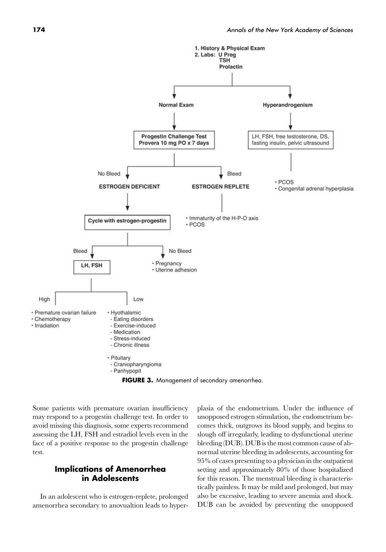

Some patients with premature ovarian insufficiency may respond to a progestin challenge test. In order to avoid missing this diagnosis, some experts recommend assessing the LH, FSH and estradiol levels even in the face of a positive response to the progestin challenge test.

## **Implications of Amenorrhea in Adolescents**

In an adolescent who is estrogen-replete, prolonged amenorrhea secondary to anovualtion leads to hyperplasia of the endometrium. Under the influence of unopposed estrogen stimulation, the endometrium becomes thick, outgrows its blood supply, and begins to slough off irregularly, leading to dysfunctional uterine bleeding (DUB). DUB is the most common cause of abnormal uterine bleeding in adolescents, accounting for 95% of cases presenting to a physician in the outpatient setting and approximately 80% of those hospitalized for this reason. The menstrual bleeding is characteristically painless. It may be mild and prolonged, but may also be excessive, leading to severe anemia and shock. DUB can be avoided by preventing the unopposed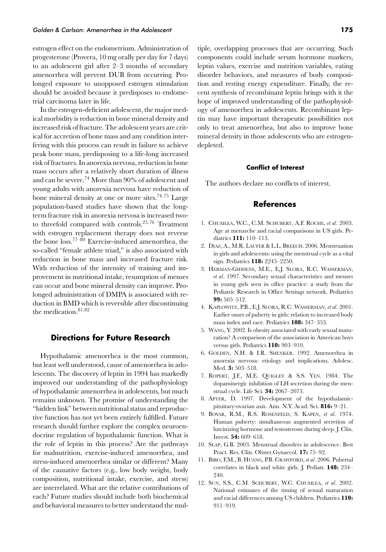estrogen effect on the endometrium. Administration of progesterone (Provera, 10 mg orally per day for 7 days) to an adolescent girl after 2–3 months of secondary amenorrhea will prevent DUB from occurring. Prolonged exposure to unopposed estrogen stimulation should be avoided because it predisposes to endometrial carcinoma later in life.

In the estrogen-deficient adolescent, the major medical morbidity is reduction in bone mineral density and increased risk of fracture. The adolescent years are critical for accretion of bone mass and any condition interfering with this process can result in failure to achieve peak bone mass, predisposing to a life-long increased risk of fractures. In anorexia nervosa, reduction in bone mass occurs after a relatively short duration of illness and can be severe.<sup>74</sup> More than 90% of adolescent and young adults with anorexia nervosa have reduction of bone mineral density at one or more sites.<sup>74</sup>*,*<sup>75</sup> Large population-based studies have shown that the longterm fracture risk in anorexia nervosa is increased twoto threefold compared with controls.25*,*<sup>76</sup> Treatment with estrogen replacement therapy does not reverse the bone loss.77–80 Exercise-induced amenorrhea, the so-called "female athlete triad," is also associated with reduction in bone mass and increased fracture risk. With reduction of the intensity of training and improvement in nutritional intake, resumption of menses can occur and bone mineral density can improve. Prolonged administration of DMPA is associated with reduction in BMD which is reversible after discontinuing the medication.<sup>81</sup>*,*<sup>82</sup>

## **Directions for Future Research**

Hypothalamic amenorrhea is the most common, but least well understood, cause of amenorrhea in adolescents. The discovery of leptin in 1994 has markedly improved our understanding of the pathophysiology of hypothalamic amenorrhea in adolescents, but much remains unknown. The promise of understanding the "hidden link" between nutritional status and reproductive function has not yet been entirely fulfilled. Future research should further explore the complex neuroendocrine regulation of hypothalamic function. What is the role of leptin in this process? Are the pathways for malnutrition, exercise-induced amenorrhea, and stress-induced amenorrhea similar or different? Many of the causative factors (e.g., low body weight, body composition, nutritional intake, exercise, and stress) are interrelated. What are the relative contributions of each? Future studies should include both biochemical and behavioral measures to better understand the multiple, overlapping processes that are occurring. Such components could include serum hormone markers, leptin values, exercise and nutrition variables, eating disorder behaviors, and measures of body composition and resting energy expenditure. Finally, the recent synthesis of recombinant leptin brings with it the hope of improved understanding of the pathophysiology of amenorrhea in adolescents. Recombinant leptin may have important therapeutic possibilities not only to treat amenorrhea, but also to improve bone mineral density in those adolescents who are estrogendepleted.

#### **Conflict of Interest**

The authors declare no conflicts of interest.

#### **References**

- 1. CHUMLEA, W.C., C.M. SCHUBERT, A.F. ROCHE, *et al*. 2003. Age at menarche and racial comparisons in US girls. Pediatrics **111:** 110–113.
- 2. DIAZ, A., M.R. LAUFER & L.L. BREECH. 2006. Menstruation in girls and adolescents: using the menstrual cycle as a vital sign. Pediatrics **118:** 2245–2250.
- 3. HERMAN-GIDDENS, M.E., E.J. SLORA, R.C. WASSERMAN, *et al*. 1997. Secondary sexual characteristics and menses in young girls seen in office practice: a study from the Pediatric Research in Office Settings network. Pediatrics **99:** 505–512.
- 4. KAPLOWITZ, P.B., E.J. SLORA, R.C. WASSERMAN, *et al*. 2001. Earlier onset of puberty in girls: relation to increased body mass index and race. Pediatrics **108:** 347–353.
- 5. WANG, Y. 2002. Is obesity associated with early sexual maturation? A comparison of the association in American boys versus girls. Pediatrics **110:** 903–910.
- 6. GOLDEN, N.H. & I.R. SHENKER. 1992. Amenorrhea in anorexia nervosa: etiology and implications. Adolesc. Med. **3:** 503–518.
- 7. ROPERT, J.F., M.E. QUIGLEY & S.S. YEN. 1984. The dopaminergic inhibition of LH secretion during the menstrual cycle. Life Sci. **34:** 2067–2073.
- 8. APTER, D. 1997. Development of the hypothalamicpituitary-ovarian axis. Ann. N.Y. Acad. Sci. **816:** 9–21.
- 9. BOYAR, R.M., R.S. ROSENFELD, S. KAPEN, *et al*. 1974. Human puberty: simultaneous augmented secretion of luteinizing hormone and testosterone during sleep. J. Clin. Invest. **54:** 609–618.
- 10. SLAP, G.B. 2003. Menstrual disorders in adolescence. Best Pract. Res. Clin. Obstet.Gynaecol. **17:** 75–92.
- 11. BIRO, F.M., B. HUANG, P.B. CRAWFORD, *et al*. 2006. Pubertal correlates in black and white girls. J. Pediatr. **148:** 234– 240.
- 12. SUN, S.S., C.M. SCHUBERT, W.C. CHUMLEA, *et al*. 2002. National estimates of the timing of sexual maturation and racial differences among US children. Pediatrics **110:** 911–919.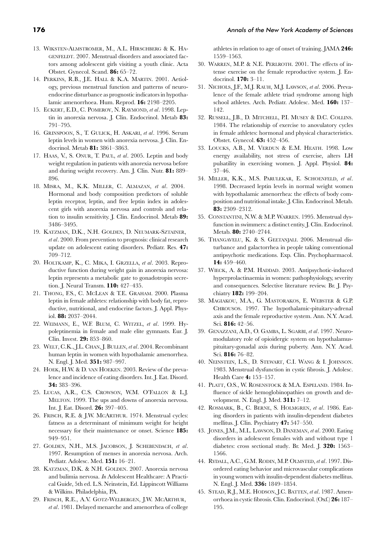- 13. WIKSTEN-ALMSTROMER, M., A.L. HIRSCHBERG & K. HA-GENFELDT. 2007. Menstrual disorders and associated factors among adolescent girls visiting a youth clinic. Acta Obstet. Gynecol. Scand. **86:** 65–72.
- 14. PERKINS, R.B., J.E. HALL & K.A. MARTIN. 2001. Aetiology, previous menstrual function and patterns of neuroendocrine disturbance as prognostic indicators in hypothalamic amenorrhoea. Hum. Reprod. **16:** 2198–2205.
- 15. ECKERT, E.D., C. POMEROY, N. RAYMOND, *et al*. 1998. Leptin in anorexia nervosa. J. Clin. Endocrinol. Metab **83:** 791–795.
- 16. GRINSPOON, S., T. GULICK, H. ASKARI, *et al*. 1996. Serum leptin levels in women with anorexia nervosa. J. Clin. Endocrinol. Metab **81:** 3861–3863.
- 17. HAAS, V., S. ONUR, T. PAUL, *et al*. 2005. Leptin and body weight regulation in patients with anorexia nervosa before and during weight recovery. Am. J. Clin. Nutr. **81:** 889– 896.
- 18. MISRA, M., K.K. MILLER, C. ALMAZAN, *et al*. 2004. Hormonal and body composition predictors of soluble leptin receptor, leptin, and free leptin index in adolescent girls with anorexia nervosa and controls and relation to insulin sensitivity. J. Clin. Endocrinol. Metab **89:** 3486–3495.
- 19. KATZMAN, D.K., N.H. GOLDEN, D. NEUMARK-SZTAINER, *et al*. 2000. From prevention to prognosis: clinical research update on adolescent eating disorders. Pediatr. Res. **47:** 709–712.
- 20. HOLTKAMP, K., C. MIKA, I. GRZELLA, *et al*. 2003. Reproductive function during weight gain in anorexia nervosa: leptin represents a metabolic gate to gonadotropin secretion. J. Neural Transm. **110:** 427–435.
- 21. THONG, F.S., C. MCLEAN & T.E. GRAHAM. 2000. Plasma leptin in female athletes: relationship with body fat, reproductive, nutritional, and endocrine factors. J. Appl. Physiol. **88:** 2037–2044.
- 22. WEIMANN, E., W.F. BLUM, C. WITZEL, *et al*. 1999. Hypoleptinemia in female and male elite gymnasts. Eur. J. Clin. Invest. **29:** 853–860.
- 23. WELT, C.K., J.L. CHAN, J. BULLEN, *et al*. 2004. Recombinant human leptin in women with hypothalamic amenorrhea. N. Engl. J. Med. **351:** 987–997.
- 24. HOEK, H.W. & D. VAN HOEKEN. 2003. Review of the prevalence and incidence of eating disorders. Int. J. Eat. Disord. **34:** 383–396.
- 25. LUCAS, A.R., C.S. CROWSON, W.M. O'FALLON & L.J. MELTON. 1999. The ups and downs of anorexia nervosa. Int. J. Eat. Disord. **26:** 397–405.
- 26. FRISCH, R.E. & J.W. MCARTHUR. 1974. Menstrual cycles: fatness as a determinant of minimum weight for height necessary for their maintenance or onset. Science **185:** 949–951.
- 27. GOLDEN, N.H., M.S. JACOBSON, J. SCHEBENDACH, *et al*. 1997. Resumption of menses in anorexia nervosa. Arch. Pediatr. Adolesc. Med. **151:** 16–21.
- 28. KATZMAN, D.K. & N.H. GOLDEN. 2007. Anorexia nervosa and bulimia nervosa. *In* Adolescent Healthcare: A Practical Guide, 5th ed. L.S. Neinstein, Ed. Lippincott Williams & Wilkins. Philadelphia, PA.
- 29. FRISCH, R.E., A.V. GOTZ-WELBERGEN, J.W. MCARTHUR, *et al*. 1981. Delayed menarche and amenorrhea of college

athletes in relation to age of onset of training. JAMA **246:** 1559–1563.

- 30. WARREN, M.P. & N.E. PERLROTH. 2001. The effects of intense exercise on the female reproductive system. J. Endocrinol. **170:** 3–11.
- 31. NICHOLS, J.F., M.J. RAUH, M.J. LAWSON, *et al*. 2006. Prevalence of the female athlete triad syndrome among high school athletes. Arch. Pediatr. Adolesc. Med. **160:** 137– 142.
- 32. RUSSELL, J.B., D. MITCHELL, P.I. MUSEY & D.C. COLLINS. 1984. The relationship of exercise to anovulatory cycles in female athletes: hormonal and physical characteristics. Obstet. Gynecol. **63:** 452–456.
- 33. LOUCKS, A.B., M. VERDUN & E.M. HEATH. 1998. Low energy availability, not stress of exercise, alters LH pulsatility in exercising women. J. Appl. Physiol. **84:** 37–46.
- 34. MILLER, K.K., M.S. PARULEKAR, E. SCHOENFELD, *et al*. 1998. Decreased leptin levels in normal weight women with hypothalamic amenorrhea: the effects of body composition and nutritional intake. J. Clin. Endocrinol. Metab. **83:** 2309–2312.
- 35. CONSTANTINI, N.W. & M.P. WARREN. 1995. Menstrual dysfunction in swimmers: a distinct entity. J. Clin. Endocrinol. Metab. **80:** 2740–2744.
- 36. THANGAVELU, K. & S. GEETANJALI. 2006. Menstrual disturbance and galactorrhea in people taking conventional antipsychotic medications. Exp. Clin. Psychopharmacol. **14:** 459–460.
- 37. WIECK, A. & P.M. HADDAD. 2003. Antipsychotic-induced hyperprolactinaemia in women: pathophysiology, severity and consequences. Selective literature review. Br. J. Psychiatry **182:** 199–204.
- 38. MAGIAKOU, M.A., G. MASTORAKOS, E. WEBSTER & G.P. CHROUSOS. 1997. The hypothalamic-pituitary-adrenal axis and the female reproductive system. Ann. N.Y. Acad. Sci. **816:** 42–56.
- 39. GENAZZANI, A.D., O. GAMBA, L. SGARBI, *et al*. 1997. Neuromodulatory role of opioidergic system on hypothalamuspituitary-gonadal axis during puberty. Ann. N.Y. Acad. Sci. **816:** 76–82.
- 40. NEINSTEIN, L.S., D. STEWART, C.I. WANG & I. JOHNSON. 1983. Menstrual dysfunction in cystic fibrosis. J. Adolesc. Health Care **4:** 153–157.
- 41. PLATT, O.S., W. ROSENSTOCK & M.A. ESPELAND. 1984. Influence of sickle hemoglobinopathies on growth and development. N. Engl. J. Med. **311:** 7–12.
- 42. ROSMARK, B., C. BERNE, S. HOLMGREN, *et al*. 1986. Eating disorders in patients with insulin-dependent diabetes mellitus. J. Clin. Psychiatry **47:** 547–550.
- 43. JONES, J.M., M.L. LAWSON, D. DANEMAN, *et al*. 2000. Eating disorders in adolescent females with and without type 1 diabetes: cross sectional study. Br. Med. J. **320:** 1563– 1566.
- 44. RYDALL, A.C., G.M. RODIN, M.P. OLMSTED, *et al*. 1997. Disordered eating behavior and microvascular complications in young women with insulin-dependent diabetes mellitus. N. Engl. J. Med. **336:** 1849–1854.
- 45. STEAD, R.J., M.E. HODSON, J.C. BATTEN, *et al*. 1987. Amenorrhoea in cystic fibrosis. Clin. Endocrinol. (Oxf.) **26:** 187– 195.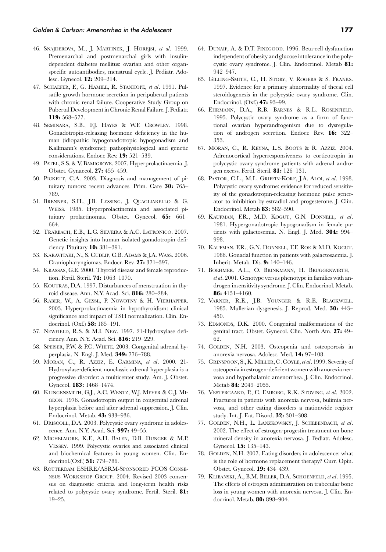- 46. SNAJDEROVA, M., J. MARTINEK, J. HOREJSI, *et al*. 1999. Premenarchal and postmenarchal girls with insulindependent diabetes mellitus: ovarian and other organspecific autoantibodies, menstrual cycle. J. Pediatr. Adolesc. Gynecol. **12:** 209–214.
- 47. SCHAEFER, F., G. HAMILL, R. STANHOPE, *et al*. 1991. Pulsatile growth hormone secretion in peripubertal patients with chronic renal failure. Cooperative Study Group on Pubertal Development in Chronic Renal Failure. J. Pediatr. **119:** 568–577.
- 48. SEMINARA, S.B., F.J. HAYES & W.F. CROWLEY. 1998. Gonadotropin-releasing hormone deficiency in the human (idiopathic hypogonadotropic hypogonadism and Kallmann's syndrome): pathophysiological and genetic considerations. Endocr. Rev. **19:** 521–539.
- 49. PATEL, S.S. & V. BAMIGBOYE. 2007. Hyperprolactinaemia. J. Obstet. Gynaecol. **27:** 455–459.
- 50. PICKETT, C.A. 2003. Diagnosis and management of pituitary tumors: recent advances. Prim. Care **30:** 765– 789.
- 51. BRENNER, S.H., J.B. LESSING, J. QUAGLIARELLO & G. WEISS. 1985. Hyperprolactinemia and associated pituitary prolactinomas. Obstet. Gynecol. **65:** 661– 664.
- 52. TRARBACH, E.B., L.G. SILVEIRA & A.C. LATRONICO. 2007. Genetic insights into human isolated gonadotropin deficiency. Pituitary **10:** 381–391.
- 53. KARAVITAKI, N., S. CUDLIP, C.B. ADAMS & J.A. WASS. 2006. Craniopharyngiomas. Endocr. Rev. **27:** 371–397.
- 54. KRASSAS, G.E. 2000. Thyroid disease and female reproduction. Fertil. Steril. **74:** 1063–1070.
- 55. KOUTRAS, D.A. 1997. Disturbances of menstruation in thyroid disease. Ann. N.Y. Acad. Sci. **816:** 280–284.
- 56. RABER, W., A. GESSL, P. NOWOTNY & H. VIERHAPPER. 2003. Hyperprolactinaemia in hypothyroidism: clinical significance and impact of TSH normalization. Clin. Endocrinol. (Oxf.) **58:** 185–191.
- 57. NEWFIELD, R.S. & M.I. NEW. 1997. 21-Hydroxylase deficiency. Ann. N.Y. Acad. Sci. **816:** 219–229.
- 58. SPEISER, P.W. & P.C. WHITE. 2003. Congenital adrenal hyperplasia. N. Engl. J. Med. **349:** 776–788.
- 59. MORAN, C., R. AZZIZ, E. CARMINA, *et al*. 2000. 21- Hydroxylase-deficient nonclassic adrenal hyperplasia is a progressive disorder: a multicenter study. Am. J. Obstet. Gynecol. **183:** 1468–1474.
- 60. KLINGENSMITH, G.J., A.C. WENTZ, W.J. MEYER & C.J. MI-GEON. 1976. Gonadotropin output in congenital adrenal hyperplasia before and after adrenal suppression. J. Clin. Endocrinol. Metab. **43:** 933–936.
- 61. DRISCOLL, D.A. 2003. Polycystic ovary syndrome in adolescence. Ann. N.Y. Acad. Sci. **997:** 49–55.
- 62. MICHELMORE, K.F., A.H. BALEN, D.B. DUNGER & M.P. VESSEY. 1999. Polycystic ovaries and associated clinical and biochemical features in young women. Clin. Endocrinol.(Oxf.) **51:** 779–786.
- 63. ROTTERDAM ESHRE/ASRM-SPONSORED PCOS CONSE-NSUS WORKSHOP GROUP. 2004. Revised 2003 consensus on diagnostic criteria and long-term health risks related to polycystic ovary syndrome. Fertil. Steril. **81:** 19–25.
- 64. DUNAIF, A. & D.T. FINEGOOD. 1996. Beta-cell dysfunction independent of obesity and glucose intolerance in the polycystic ovary syndrome. J. Clin. Endocrinol. Metab **81:** 942–947.
- 65. GILLING-SMITH, C., H. STORY, V. ROGERS & S. FRANKS. 1997. Evidence for a primary abnormality of thecal cell steroidogenesis in the polycystic ovary syndrome. Clin. Endocrinol. (Oxf.) **47:** 93–99.
- 66. EHRMANN, D.A., R.B. BARNES & R.L. ROSENFIELD. 1995. Polycystic ovary syndrome as a form of functional ovarian hyperandrogenism due to dysregulation of androgen secretion. Endocr. Rev. **16:** 322– 353.
- 67. MORAN, C., R. REYNA, L.S. BOOTS & R. AZZIZ. 2004. Adrenocortical hyperresponsiveness to corticotropin in polycystic ovary syndrome patients with adrenal androgen excess. Fertil. Steril. **81:** 126–131.
- 68. PASTOR, C.L., M.L. GRIFFIN-KORF, J.A. ALOI, *et al*. 1998. Polycystic ovary syndrome: evidence for reduced sensitivity of the gonadotropin-releasing hormone pulse generator to inhibition by estradiol and progesterone. J. Clin. Endocrinol. Metab **83:** 582–590.
- 69. KAUFMAN, F.R., M.D. KOGUT, G.N. DONNELL, *et al*. 1981. Hypergonadotropic hypogonadism in female patients with galactosemia. N. Engl. J. Med. **304:** 994– 998.
- 70. KAUFMAN, F.R., G.N. DONNELL, T.F. ROE & M.D. KOGUT. 1986. Gonadal function in patients with galactosaemia. J. Inherit. Metab. Dis. **9:** 140–146.
- 71. BOEHMER, A.L., O. BRINKMANN, H. BRUGGENWIRTH, *et al*. 2001. Genotype versus phenotype in families with androgen insensitivity syndrome. J. Clin. Endocrinol. Metab. **86:** 4151–4160.
- 72. VARNER, R.E., J.B. YOUNGER & R.E. BLACKWELL. 1985. Mullerian dysgenesis. J. Reprod. Med. **30:** 443– 450.
- 73. EDMONDS, D.K. 2000. Congenital malformations of the genital tract. Obstet. Gynecol. Clin. North Am. **27:** 49– 62.
- 74. GOLDEN, N.H. 2003. Osteopenia and osteoporosis in anorexia nervosa. Adolesc. Med. **14:** 97–108.
- 75. GRINSPOON, S., K. MILLER, C. COYLE, *et al*. 1999. Severity of osteopenia in estrogen-deficient women with anorexia nervosa and hypothalamic amenorrhea. J. Clin. Endocrinol. Metab **84:** 2049–2055.
- 76. VESTERGAARD, P., C. EMBORG, R.K. STOVING, *et al*. 2002. Fractures in patients with anorexia nervosa, bulimia nervosa, and other eating disorders–a nationwide register study. Int. J. Eat. Disord. **32:** 301–308.
- 77. GOLDEN, N.H., L. LANZKOWSKY, J. SCHEBENDACH, *et al*. 2002. The effect of estrogen-progestin treatment on bone mineral density in anorexia nervosa. J. Pediatr. Adolesc. Gynecol. **15:** 135–143.
- 78. GOLDEN, N.H. 2007. Eating disorders in adolescence: what is the role of hormone replacement therapy? Curr. Opin. Obstet. Gynecol. **19:** 434–439.
- 79. KLIBANSKI, A., B.M. BILLER, D.A. SCHOENFELD, *et al*. 1995. The effects of estrogen administration on trabecular bone loss in young women with anorexia nervosa. J. Clin. Endocrinol. Metab. **80:** 898–904.